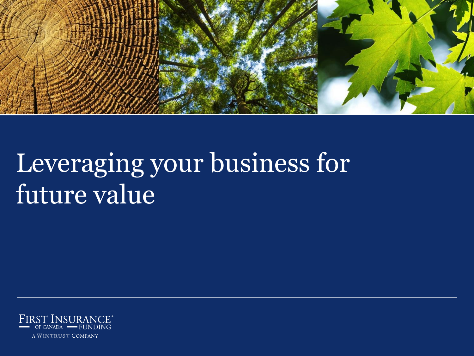

# Leveraging your business for future value

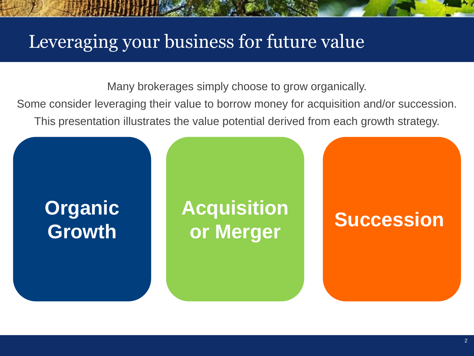## Leveraging your business for future value

Many brokerages simply choose to grow organically.

Some consider leveraging their value to borrow money for acquisition and/or succession. This presentation illustrates the value potential derived from each growth strategy.

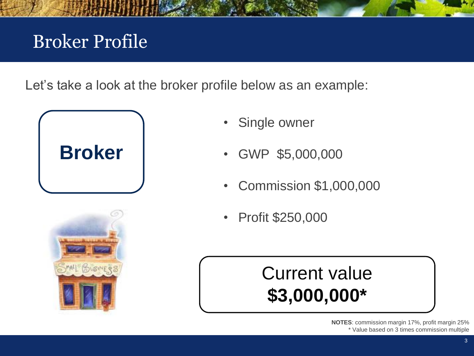# Broker Profile

Let's take a look at the broker profile below as an example:





- Single owner
- GWP \$5,000,000
- Commission \$1,000,000
- Profit \$250,000

# Current value **\$3,000,000\***

**NOTES**: commission margin 17%, profit margin 25% \* Value based on 3 times commission multiple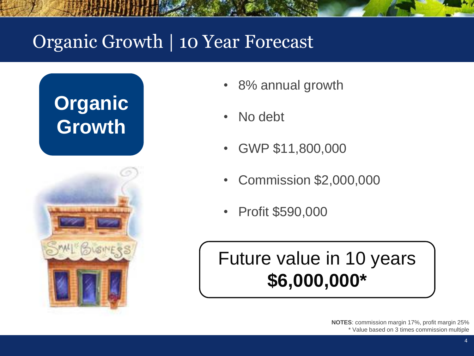## Organic Growth | 10 Year Forecast





- 8% annual growth
- No debt
- GWP \$11,800,000
- Commission \$2,000,000
- Profit \$590,000

# Future value in 10 years **\$6,000,000\***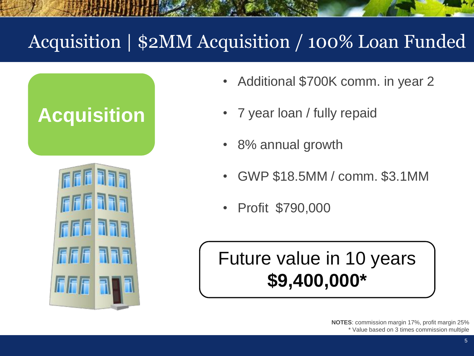# Acquisition | \$2MM Acquisition / 100% Loan Funded

# **Acquisition**



- Additional \$700K comm. in year 2
- 7 year loan / fully repaid
- 8% annual growth
- GWP \$18.5MM / comm. \$3.1MM
- Profit \$790,000

# Future value in 10 years **\$9,400,000\***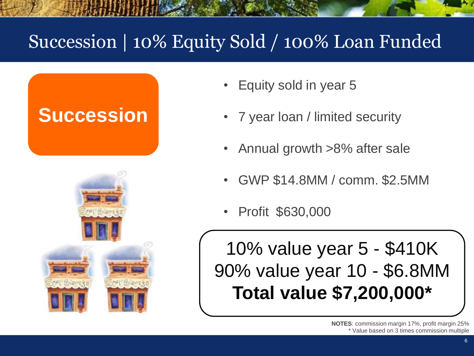# Succession | 10% Equity Sold / 100% Loan Funded

# **Succession**



- Equity sold in year 5
- 7 year loan / limited security
- Annual growth >8% after sale
- GWP \$14.8MM / comm. \$2.5MM
- Profit \$630,000

10% value year 5 - \$410K 90% value year 10 - \$6.8MM **Total value \$7,200,000\***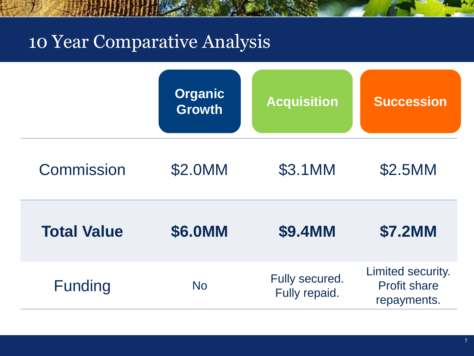#### 10 Year Comparative Analysis



| <b>Commission</b>  | \$2.0MM   | \$3.1MM                         | \$2.5MM                                                 |
|--------------------|-----------|---------------------------------|---------------------------------------------------------|
| <b>Total Value</b> | \$6.0MM   | \$9.4MM                         | <b>\$7.2MM</b>                                          |
| <b>Funding</b>     | <b>No</b> | Fully secured.<br>Fully repaid. | Limited security.<br><b>Profit share</b><br>repayments. |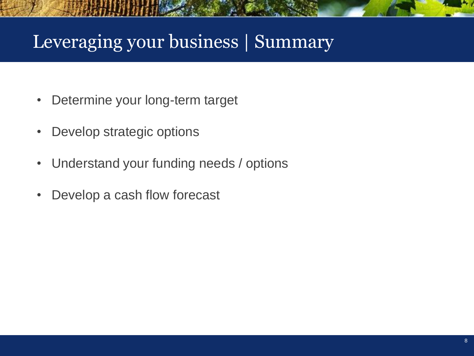#### Leveraging your business | Summary

- Determine your long-term target
- Develop strategic options
- Understand your funding needs / options
- Develop a cash flow forecast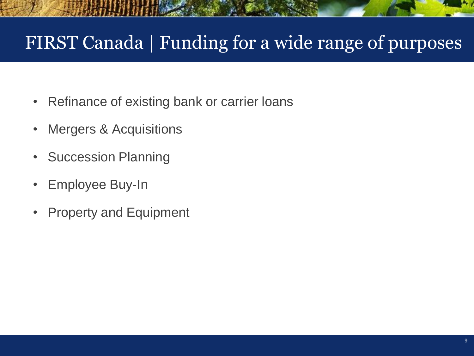## FIRST Canada | Funding for a wide range of purposes

- Refinance of existing bank or carrier loans
- Mergers & Acquisitions
- Succession Planning
- Employee Buy-In
- Property and Equipment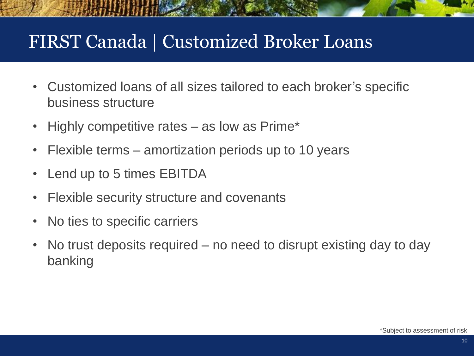#### FIRST Canada | Customized Broker Loans

- Customized loans of all sizes tailored to each broker's specific business structure
- Highly competitive rates as low as Prime\*
- Flexible terms amortization periods up to 10 years
- Lend up to 5 times EBITDA
- Flexible security structure and covenants
- No ties to specific carriers
- No trust deposits required no need to disrupt existing day to day banking